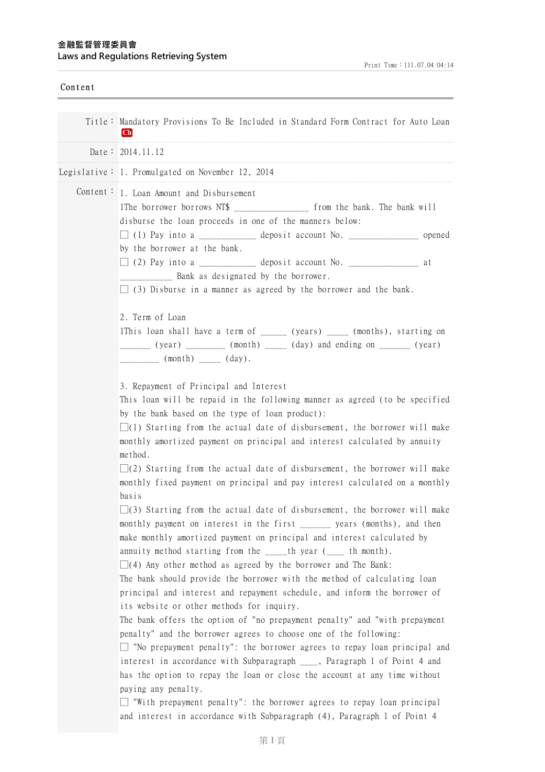# **⾦融監督管理委員會 Laws and Regulations Retrieving System**

| Title: Mandatory Provisions To Be Included in Standard Form Contract for Auto Loan<br> Ch                                                                                                                                                                                                                                                                                                                                                                                                                                                                                                                                                                                                                                                                                                                                                                                                                                                                                                                                                                                                                                                                                                                                                                                                                                                                                                                                                                                                                                                                                                                                                                                                                                                                                                                                                                                                                                                                                                                                                                                                                                                  |
|--------------------------------------------------------------------------------------------------------------------------------------------------------------------------------------------------------------------------------------------------------------------------------------------------------------------------------------------------------------------------------------------------------------------------------------------------------------------------------------------------------------------------------------------------------------------------------------------------------------------------------------------------------------------------------------------------------------------------------------------------------------------------------------------------------------------------------------------------------------------------------------------------------------------------------------------------------------------------------------------------------------------------------------------------------------------------------------------------------------------------------------------------------------------------------------------------------------------------------------------------------------------------------------------------------------------------------------------------------------------------------------------------------------------------------------------------------------------------------------------------------------------------------------------------------------------------------------------------------------------------------------------------------------------------------------------------------------------------------------------------------------------------------------------------------------------------------------------------------------------------------------------------------------------------------------------------------------------------------------------------------------------------------------------------------------------------------------------------------------------------------------------|
| Date: $2014.11.12$                                                                                                                                                                                                                                                                                                                                                                                                                                                                                                                                                                                                                                                                                                                                                                                                                                                                                                                                                                                                                                                                                                                                                                                                                                                                                                                                                                                                                                                                                                                                                                                                                                                                                                                                                                                                                                                                                                                                                                                                                                                                                                                         |
| Legislative: 1. Promulgated on November 12, 2014                                                                                                                                                                                                                                                                                                                                                                                                                                                                                                                                                                                                                                                                                                                                                                                                                                                                                                                                                                                                                                                                                                                                                                                                                                                                                                                                                                                                                                                                                                                                                                                                                                                                                                                                                                                                                                                                                                                                                                                                                                                                                           |
| Content: 1. Loan Amount and Disbursement<br>1The borrower borrows NT\$ __________________ from the bank. The bank will<br>disburse the loan proceeds in one of the manners below:<br>opened<br>by the borrower at the bank.<br>a t<br>_________ Bank as designated by the borrower.<br>$\Box$ (3) Disburse in a manner as agreed by the borrower and the bank.<br>2. Term of Loan<br>1This loan shall have a term of ______ (years) _____ (months), starting on<br>_______ (year) _________ (month) _____ (day) and ending on ______ (year)<br>___________ (month) _____ (day).<br>3. Repayment of Principal and Interest<br>This loan will be repaid in the following manner as agreed (to be specified<br>by the bank based on the type of loan product):<br>$\Box(1)$ Starting from the actual date of disbursement, the borrower will make<br>monthly amortized payment on principal and interest calculated by annuity<br>method.<br>$\Box(2)$ Starting from the actual date of disbursement, the borrower will make<br>monthly fixed payment on principal and pay interest calculated on a monthly<br>basis<br>$\Box(3)$ Starting from the actual date of disbursement, the borrower will make<br>monthly payment on interest in the first ________ years (months), and then<br>make monthly amortized payment on principal and interest calculated by<br>annuity method starting from the $\_\_\_$ th year ( $\_\_\_$ th month).<br>$\Box$ (4) Any other method as agreed by the borrower and The Bank:<br>The bank should provide the borrower with the method of calculating loan<br>principal and interest and repayment schedule, and inform the borrower of<br>its website or other methods for inquiry.<br>The bank offers the option of "no prepayment penalty" and "with prepayment<br>penalty" and the borrower agrees to choose one of the following:<br>$\Box$ "No prepayment penalty": the borrower agrees to repay loan principal and<br>interest in accordance with Subparagraph ____, Paragraph 1 of Point 4 and<br>has the option to repay the loan or close the account at any time without<br>paying any penalty. |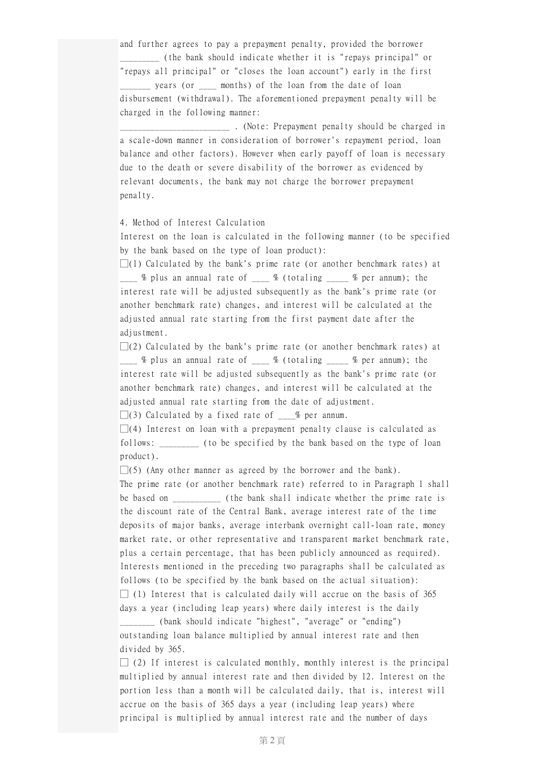and further agrees to pay a prepayment penalty, provided the borrower \_\_\_\_\_\_\_\_\_ (the bank should indicate whether it is "repays principal" or "repays all principal" or "closes the loan account") early in the first years (or \_\_\_\_ months) of the loan from the date of loan disbursement (withdrawal). The aforementioned prepayment penalty will be charged in the following manner:

\_\_\_\_\_\_\_\_\_\_\_\_\_\_\_\_\_\_\_\_\_\_\_\_\_ . (Note: Prepayment penalty should be charged in a scale-down manner in consideration of borrower's repayment period, loan balance and other factors). However when early payoff of loan is necessary due to the death or severe disability of the borrower as evidenced by relevant documents, the bank may not charge the borrower prepayment penalty.

#### 4. Method of Interest Calculation

Interest on the loan is calculated in the following manner (to be specified by the bank based on the type of loan product):

 $\Box(1)$  Calculated by the bank's prime rate (or another benchmark rates) at  $\frac{m}{2}$  % plus an annual rate of  $\frac{m}{2}$  % (totaling  $\frac{m}{2}$  % per annum); the interest rate will be adjusted subsequently as the bank's prime rate (or another benchmark rate) changes, and interest will be calculated at the adjusted annual rate starting from the first payment date after the adjustment.

 $\Box(2)$  Calculated by the bank's prime rate (or another benchmark rates) at  $\frac{1}{2}$  % plus an annual rate of  $\frac{1}{2}$  % (totaling  $\frac{1}{2}$  % per annum); the interest rate will be adjusted subsequently as the bank's prime rate (or another benchmark rate) changes, and interest will be calculated at the adjusted annual rate starting from the date of adjustment.

 $\square(3)$  Calculated by a fixed rate of  $\_\_\_\%$  per annum.

 $\Box(4)$  Interest on loan with a prepayment penalty clause is calculated as follows: \_\_\_\_\_\_\_\_\_ (to be specified by the bank based on the type of loan product).

 $\square(5)$  (Any other manner as agreed by the borrower and the bank).

The prime rate (or another benchmark rate) referred to in Paragraph 1 shall be based on (the bank shall indicate whether the prime rate is the discount rate of the Central Bank, average interest rate of the time deposits of major banks, average interbank overnight call-loan rate, money market rate, or other representative and transparent market benchmark rate, plus a certain percentage, that has been publicly announced as required). Interests mentioned in the preceding two paragraphs shall be calculated as follows (to be specified by the bank based on the actual situation):  $\Box$  (1) Interest that is calculated daily will accrue on the basis of 365 days a year (including leap years) where daily interest is the daily

\_\_\_\_\_\_\_\_ (bank should indicate "highest", "average" or "ending") outstanding loan balance multiplied by annual interest rate and then divided by 365.

 $\Box$  (2) If interest is calculated monthly, monthly interest is the principal multiplied by annual interest rate and then divided by 12. Interest on the portion less than a month will be calculated daily, that is, interest will accrue on the basis of 365 days a year (including leap years) where principal is multiplied by annual interest rate and the number of days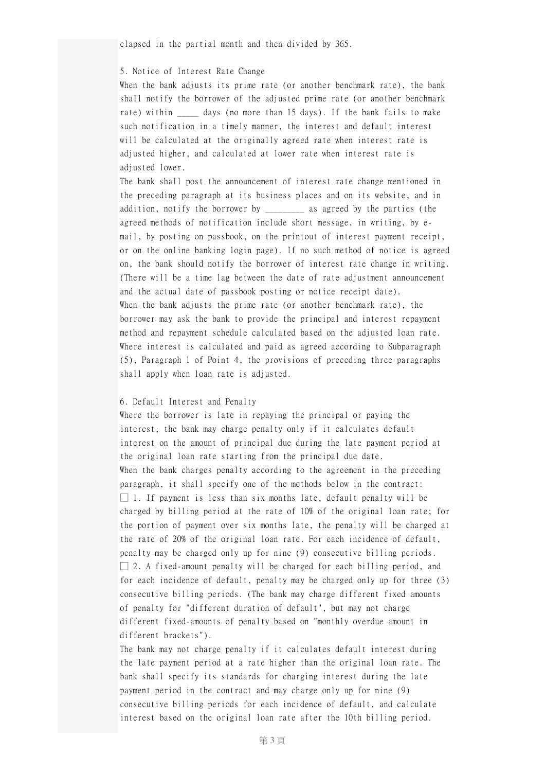elapsed in the partial month and then divided by 365.

#### 5. Notice of Interest Rate Change

When the bank adjusts its prime rate (or another benchmark rate), the bank shall notify the borrower of the adjusted prime rate (or another benchmark rate) within \_\_\_\_\_ days (no more than 15 days). If the bank fails to make such notification in a timely manner, the interest and default interest will be calculated at the originally agreed rate when interest rate is adjusted higher, and calculated at lower rate when interest rate is adjusted lower.

The bank shall post the announcement of interest rate change mentioned in the preceding paragraph at its business places and on its website, and in addition, notify the borrower by \_\_\_\_\_\_\_\_\_ as agreed by the parties (the agreed methods of notification include short message, in writing, by email, by posting on passbook, on the printout of interest payment receipt, or on the online banking login page). If no such method of notice is agreed on, the bank should notify the borrower of interest rate change in writing. (There will be a time lag between the date of rate adjustment announcement and the actual date of passbook posting or notice receipt date). When the bank adjusts the prime rate (or another benchmark rate), the borrower may ask the bank to provide the principal and interest repayment method and repayment schedule calculated based on the adjusted loan rate. Where interest is calculated and paid as agreed according to Subparagraph (5), Paragraph 1 of Point 4, the provisions of preceding three paragraphs shall apply when loan rate is adjusted.

### 6. Default Interest and Penalty

Where the borrower is late in repaying the principal or paying the interest, the bank may charge penalty only if it calculates default interest on the amount of principal due during the late payment period at the original loan rate starting from the principal due date. When the bank charges penalty according to the agreement in the preceding paragraph, it shall specify one of the methods below in the contract:  $\Box$  1. If payment is less than six months late, default penalty will be charged by billing period at the rate of 10% of the original loan rate; for the portion of payment over six months late, the penalty will be charged at the rate of 20% of the original loan rate. For each incidence of default, penalty may be charged only up for nine (9) consecutive billing periods.  $\Box$  2. A fixed-amount penalty will be charged for each billing period, and for each incidence of default, penalty may be charged only up for three (3) consecutive billing periods. (The bank may charge different fixed amounts of penalty for "different duration of default", but may not charge different fixed-amounts of penalty based on "monthly overdue amount in different brackets").

The bank may not charge penalty if it calculates default interest during the late payment period at a rate higher than the original loan rate. The bank shall specify its standards for charging interest during the late payment period in the contract and may charge only up for nine (9) consecutive billing periods for each incidence of default, and calculate interest based on the original loan rate after the 10th billing period.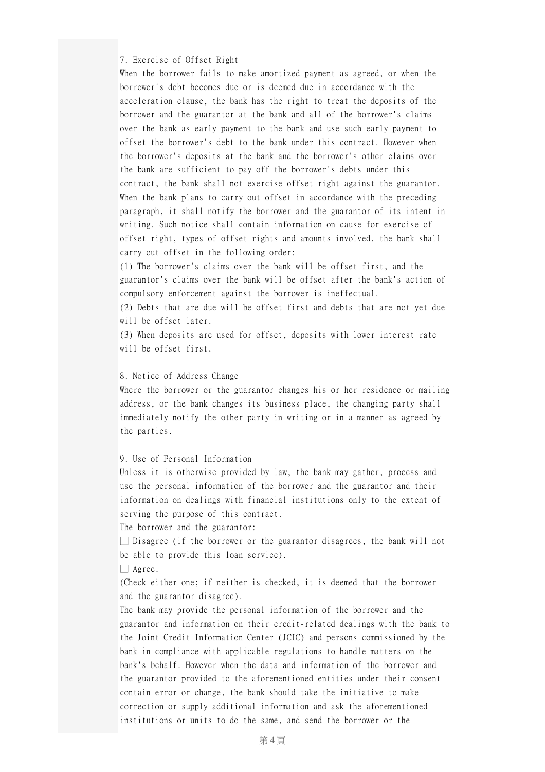7. Exercise of Offset Right

When the borrower fails to make amortized payment as agreed, or when the borrower's debt becomes due or is deemed due in accordance with the acceleration clause, the bank has the right to treat the deposits of the borrower and the guarantor at the bank and all of the borrower's claims over the bank as early payment to the bank and use such early payment to offset the borrower's debt to the bank under this contract. However when the borrower's deposits at the bank and the borrower's other claims over the bank are sufficient to pay off the borrower's debts under this contract, the bank shall not exercise offset right against the guarantor. When the bank plans to carry out offset in accordance with the preceding paragraph, it shall notify the borrower and the guarantor of its intent in writing. Such notice shall contain information on cause for exercise of offset right, types of offset rights and amounts involved. the bank shall carry out offset in the following order:

(1) The borrower's claims over the bank will be offset first, and the guarantor's claims over the bank will be offset after the bank's action of compulsory enforcement against the borrower is ineffectual.

(2) Debts that are due will be offset first and debts that are not yet due will be offset later.

(3) When deposits are used for offset, deposits with lower interest rate will be offset first.

## 8. Notice of Address Change

Where the borrower or the guarantor changes his or her residence or mailing address, or the bank changes its business place, the changing party shall immediately notify the other party in writing or in a manner as agreed by the parties.

## 9. Use of Personal Information

Unless it is otherwise provided by law, the bank may gather, process and use the personal information of the borrower and the guarantor and their information on dealings with financial institutions only to the extent of serving the purpose of this contract.

The borrower and the guarantor:

□ Disagree (if the borrower or the guarantor disagrees, the bank will not be able to provide this loan service).

□ Agree.

(Check either one; if neither is checked, it is deemed that the borrower and the guarantor disagree).

The bank may provide the personal information of the borrower and the guarantor and information on their credit-related dealings with the bank to the Joint Credit Information Center (JCIC) and persons commissioned by the bank in compliance with applicable regulations to handle matters on the bank's behalf. However when the data and information of the borrower and the guarantor provided to the aforementioned entities under their consent contain error or change, the bank should take the initiative to make correction or supply additional information and ask the aforementioned institutions or units to do the same, and send the borrower or the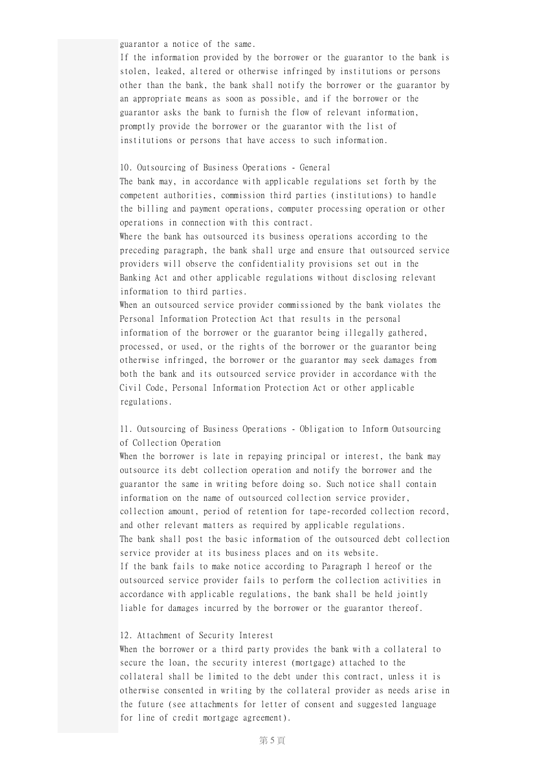guarantor a notice of the same.

If the information provided by the borrower or the guarantor to the bank is stolen, leaked, altered or otherwise infringed by institutions or persons other than the bank, the bank shall notify the borrower or the guarantor by an appropriate means as soon as possible, and if the borrower or the guarantor asks the bank to furnish the flow of relevant information, promptly provide the borrower or the guarantor with the list of institutions or persons that have access to such information.

# 10. Outsourcing of Business Operations - General

The bank may, in accordance with applicable regulations set forth by the competent authorities, commission third parties (institutions) to handle the billing and payment operations, computer processing operation or other operations in connection with this contract.

Where the bank has outsourced its business operations according to the preceding paragraph, the bank shall urge and ensure that outsourced service providers will observe the confidentiality provisions set out in the Banking Act and other applicable regulations without disclosing relevant information to third parties.

When an outsourced service provider commissioned by the bank violates the Personal Information Protection Act that results in the personal information of the borrower or the guarantor being illegally gathered, processed, or used, or the rights of the borrower or the guarantor being otherwise infringed, the borrower or the guarantor may seek damages from both the bank and its outsourced service provider in accordance with the Civil Code, Personal Information Protection Act or other applicable regulations.

# 11. Outsourcing of Business Operations - Obligation to Inform Outsourcing of Collection Operation

When the borrower is late in repaying principal or interest, the bank may outsource its debt collection operation and notify the borrower and the guarantor the same in writing before doing so. Such notice shall contain information on the name of outsourced collection service provider, collection amount, period of retention for tape-recorded collection record, and other relevant matters as required by applicable regulations. The bank shall post the basic information of the outsourced debt collection service provider at its business places and on its website. If the bank fails to make notice according to Paragraph 1 hereof or the outsourced service provider fails to perform the collection activities in accordance with applicable regulations, the bank shall be held jointly liable for damages incurred by the borrower or the guarantor thereof.

# 12. Attachment of Security Interest

When the borrower or a third party provides the bank with a collateral to secure the loan, the security interest (mortgage) attached to the collateral shall be limited to the debt under this contract, unless it is otherwise consented in writing by the collateral provider as needs arise in the future (see attachments for letter of consent and suggested language for line of credit mortgage agreement).